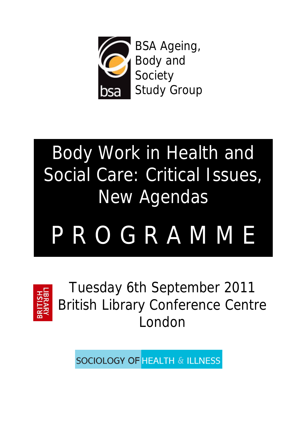

# Body Work in Health and Social Care: Critical Issues, New Agendas

# P R O G R A M M E



Tuesday 6th September 2011 British Library Conference Centre London

**SOCIOLOGY OF HEALTH & ILLNESS**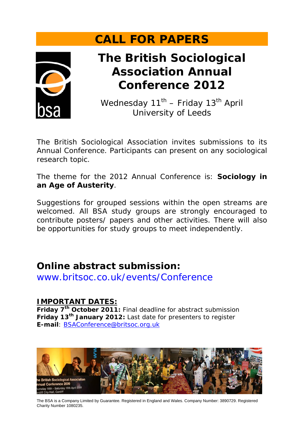## **CALL FOR PAPERS**



## **The British Sociological Association Annual Conference 2012**

Wednesday  $11^{th}$  – Friday  $13^{th}$  April University of Leeds

The British Sociological Association invites submissions to its Annual Conference. Participants can present on any sociological research topic.

The theme for the 2012 Annual Conference is: **Sociology in an Age of Austerity**.

Suggestions for grouped sessions within the open streams are welcomed. All BSA study groups are strongly encouraged to contribute posters/ papers and other activities. There will also be opportunities for study groups to meet independently.

### **Online abstract submission:**

www.britsoc.co.uk/events/Conference

### **IMPORTANT DATES:**

**Friday 7th October 2011:** Final deadline for abstract submission **Friday 13th January 2012:** Last date for presenters to register **E-mail**: BSAConference@britsoc.org.uk



The BSA is a Company Limited by Guarantee. Registered in England and Wales. Company Number: 3890729. Registered Charity Number 1080235.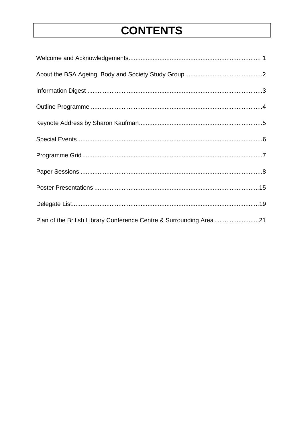## **CONTENTS**

| Plan of the British Library Conference Centre & Surrounding Area21 |  |
|--------------------------------------------------------------------|--|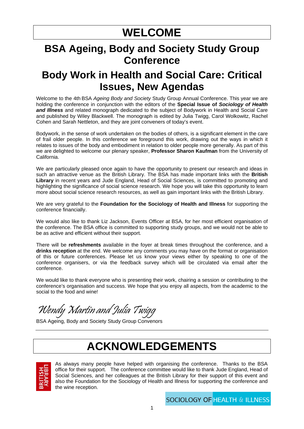## **WELCOME**

### **BSA Ageing, Body and Society Study Group Conference**

### **Body Work in Health and Social Care: Critical Issues, New Agendas**

Welcome to the 4th BSA *Ageing Body and Society* Study Group Annual Conference. This year we are holding the conference in conjunction with the editors of the **Special Issue of** *Sociology of Health and Illness* and related monograph dedicated to the subject of Bodywork in Health and Social Care and published by Wiley Blackwell. The monograph is edited by Julia Twigg, Carol Wolkowitz, Rachel Cohen and Sarah Nettleton, and they are joint conveners of today's event.

Bodywork, in the sense of work undertaken on the bodies of others, is a significant element in the care of frail older people. In this conference we foreground this work, drawing out the ways in which it relates to issues of the body and embodiment in relation to older people more generally. As part of this we are delighted to welcome our plenary speaker, **Professor Sharon Kaufman** from the University of California.

We are particularly pleased once again to have the opportunity to present our research and ideas in such an attractive venue as the British Library. The BSA has made important links with the **British Library** in recent years and Jude England, Head of Social Sciences, is committed to promoting and highlighting the significance of social science research. We hope you will take this opportunity to learn more about social science research resources, as well as gain important links with the British Library.

We are very grateful to the **Foundation for the Sociology of Health and Illness** for supporting the conference financially.

We would also like to thank Liz Jackson, Events Officer at BSA, for her most efficient organisation of the conference. The BSA office is committed to supporting study groups, and we would not be able to be as active and efficient without their support.

There will be **refreshments** available in the foyer at break times throughout the conference, and a **drinks reception** at the end. We welcome any comments you may have on the format or organisation of this or future conferences. Please let us know your views either by speaking to one of the conference organisers, or via the feedback survey which will be circulated via email after the conference.

We would like to thank everyone who is presenting their work, chairing a session or contributing to the conference's organisation and success. We hope that you enjoy all aspects, from the academic to the social to the food and wine!

Wendy Martin and Julia Twigg

BSA Ageing, Body and Society Study Group Convenors

## **ACKNOWLEDGEMENTS**



As always many people have helped with organising the conference. Thanks to the BSA office for their support. The conference committee would like to thank Jude England, Head of Social Sciences, and her colleagues at the British Library for their support of this event and also the Foundation for the Sociology of Health and Illness for supporting the conference and the wine reception.

**SOCIOLOGY OF HEALTH & ILLNESS**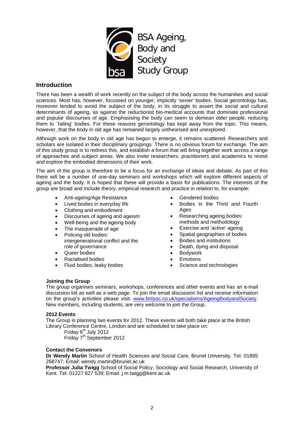

### **Introduction**

There has been a wealth of work recently on the subject of the body across the humanities and social sciences. Most has, however, focussed on younger, implicitly 'sexier' bodies. Social gerontology has, moreover tended to avoid the subject of the body, in its struggle to assert the social and cultural determinants of ageing, as against the reductionist bio-medical accounts that dominate professional and popular discourses of age. Emphasising the body can seem to demean older people, reducing them to ´failing' bodies. For these reasons gerontology has kept away from the topic. This means, however, that the body in old age has remained largely untheorised and unexplored.

Although work on the body in old age has begun to emerge, it remains scattered. Researchers and scholars are isolated in their disciplinary groupings. There is no obvious forum for exchange. The aim of this study group is to redress this, and establish a forum that will bring together work across a range of approaches and subject areas. We also invite researchers, practitioners and academics to revisit and explore the embodied dimensions of their work.

The aim of the group is therefore to be a focus for an exchange of ideas and debate. As part of this there will be a number of one-day seminars and workshops which will explore different aspects of ageing and the body. It is hoped that these will provide a basis for publications. The interests of the group are broad and include theory, empirical research and practice in relation to, for example:

- Anti-ageing/Age Resistance
- Lived bodies in everyday life
- Clothing and embodiment
- Discourses of ageing and ageism
- Well-being and the ageing body
- The masquerade of age
- Policing old bodies: intergenerational conflict and the role of governance
- Queer bodies
- Racialised bodies
- Fluid bodies, leaky bodies
- Gendered bodies
- Bodies in the Third and Fourth Ages
- Researching ageing bodies: methods and methodology
- Exercise and 'active' ageing
- Spatial geographies of bodies
- Bodies and institutions
- Death, dying and disposal
- Bodywork
- **Emotions**
- Science and technologies

### **Joining the Group**

The group organises seminars, workshops, conferences and other events and has an e-mail discussion list as well as a web page. To join the email discussion list and receive information on the group's activities please visit. www.britsoc.co.uk/specialisms/AgeingBodyandSociety. New members, including students, are very welcome to join the Group.

#### **2012 Events**

The Group is planning two events for 2012. These events will both take place at the British Library Conference Centre, London and are scheduled to take place on:

Friday 6<sup>th</sup> July 2012 Friday 7<sup>th</sup> September 2012

### **Contact the Convenors**

**Dr Wendy Martin** School of Health Sciences and Social Care, Brunel University. Tel: 01895 268747; Email: wendy.martin@brunel.ac.uk

**Professor Julia Twigg** School of Social Policy, Sociology and Social Research, University of Kent. Tel: 01227 827 539; Email: j.m.twigg@kent.ac.uk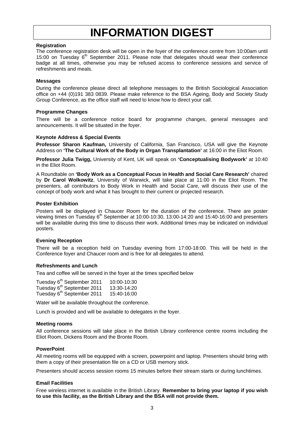## **INFORMATION DIGEST**

### **Registration**

The conference registration desk will be open in the foyer of the conference centre from 10:00am until 15:00 on Tuesday  $6<sup>th</sup>$  September 2011. Please note that delegates should wear their conference badge at all times, otherwise you may be refused access to conference sessions and service of refreshments and meals.

### **Messages**

During the conference please direct all telephone messages to the British Sociological Association office on +44 (0)191 383 0839. Please make reference to the BSA Ageing, Body and Society Study Group Conference, as the office staff will need to know how to direct your call.

### **Programme Changes**

There will be a conference notice board for programme changes, general messages and announcements. It will be situated in the foyer.

### **Keynote Address & Special Events**

**Professor Sharon Kaufman,** University of California, San Francisco, USA will give the Keynote Address on **'The Cultural Work of the Body in Organ Transplantation'** at 16:00 in the Eliot Room.

**Professor Julia Twigg,** University of Kent, UK will speak on **'Conceptualising Bodywork'** at 10:40 in the Eliot Room.

A Roundtable on **'Body Work as a Conceptual Focus in Health and Social Care Research'** chaired by **Dr Carol Wolkowitz**, University of Warwick, will take place at 11:00 in the Eliot Room. The presenters, all contributors to Body Work in Health and Social Care, will discuss their use of the concept of body work and what it has brought to their current or projected research.

### **Poster Exhibition**

Posters will be displayed in Chaucer Room for the duration of the conference. There are poster viewing times on Tuesday 6<sup>th</sup> September at 10:00-10:30, 13:00-14:20 and 15:40-16:00 and presenters will be available during this time to discuss their work. Additional times may be indicated on individual posters.

#### **Evening Reception**

There will be a reception held on Tuesday evening from 17:00-18:00. This will be held in the Conference foyer and Chaucer room and is free for all delegates to attend.

#### **Refreshments and Lunch**

Tea and coffee will be served in the foyer at the times specified below

| Tuesday 6 <sup>th</sup> September 2011 | 10:00-10:30 |
|----------------------------------------|-------------|
| Tuesday 6 <sup>th</sup> September 2011 | 13:30-14:20 |
| Tuesday 6 <sup>th</sup> September 2011 | 15:40-16:00 |

Water will be available throughout the conference.

Lunch is provided and will be available to delegates in the foyer.

#### **Meeting rooms**

All conference sessions will take place in the British Library conference centre rooms including the Eliot Room, Dickens Room and the Bronte Room.

#### **PowerPoint**

All meeting rooms will be equipped with a screen, powerpoint and laptop. Presenters should bring with them a copy of their presentation file on a CD or USB memory stick.

Presenters should access session rooms 15 minutes before their stream starts or during lunchtimes.

#### **Email Facilities**

Free wireless internet is available in the British Library. **Remember to bring your laptop if you wish to use this facility, as the British Library and the BSA will not provide them.**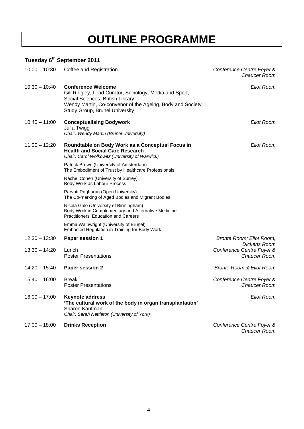## **OUTLINE PROGRAMME**

### **Tuesday 6th September 2011**

| $10:00 - 10:30$ | Coffee and Registration                                                                                                                                                                                                  | Conference Centre Foyer &<br>Chaucer Room |
|-----------------|--------------------------------------------------------------------------------------------------------------------------------------------------------------------------------------------------------------------------|-------------------------------------------|
| $10:30 - 10:40$ | <b>Conference Welcome</b><br>Gill Ridgley, Lead Curator, Sociology, Media and Sport,<br>Social Sciences, British Library.<br>Wendy Martin, Co-convenor of the Ageing, Body and Society<br>Study Group, Brunel University | <b>Eliot Room</b>                         |
| $10:40 - 11:00$ | <b>Conceptualising Bodywork</b><br>Julia Twigg<br>Chair: Wendy Martin (Brunel University)                                                                                                                                | <b>Eliot Room</b>                         |
| $11:00 - 12:20$ | Roundtable on Body Work as a Conceptual Focus in<br><b>Health and Social Care Research</b><br>Chair: Carol Wolkowitz (University of Warwick)                                                                             | Eliot Room                                |
|                 | Patrick Brown (University of Amsterdam)<br>The Embodiment of Trust by Healthcare Professionals                                                                                                                           |                                           |
|                 | Rachel Cohen (University of Surrey)<br>Body Work as Labour Process                                                                                                                                                       |                                           |
|                 | Parvati Raghuran (Open University)<br>The Co-marking of Aged Bodies and Migrant Bodies                                                                                                                                   |                                           |
|                 | Nicola Gale (University of Birmingham)<br>Body Work in Complementary and Alternative Medicine<br><b>Practitioners' Education and Careers</b>                                                                             |                                           |
|                 | Emma Wainwright (University of Brunel)<br>Embodied Regulation in Training for Body Work                                                                                                                                  |                                           |
| $12:30 - 13:30$ | <b>Paper session 1</b>                                                                                                                                                                                                   | Bronte Room; Eliot Room,<br>Dickens Room  |
| $13:30 - 14:20$ | Lunch<br><b>Poster Presentations</b>                                                                                                                                                                                     | Conference Centre Foyer &<br>Chaucer Room |
| $14:20 - 15:40$ | Paper session 2                                                                                                                                                                                                          | <b>Bronte Room &amp; Eliot Room</b>       |
| $15:40 - 16:00$ | <b>Break</b><br><b>Poster Presentations</b>                                                                                                                                                                              | Conference Centre Foyer &<br>Chaucer Room |
| $16:00 - 17:00$ | <b>Keynote address</b><br>'The cultural work of the body in organ transplantation'<br>Sharon Kaufman<br>Chair: Sarah Nettleton (University of York)                                                                      | <b>Eliot Room</b>                         |
| $17:00 - 18:00$ | <b>Drinks Reception</b>                                                                                                                                                                                                  | Conference Centre Foyer &<br>Chaucer Room |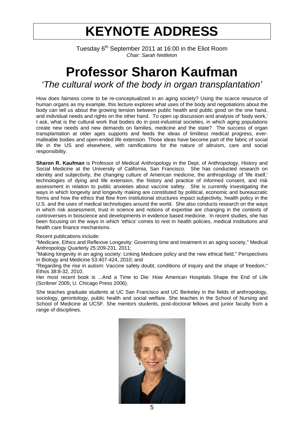## **KEYNOTE ADDRESS**

Tuesday 6<sup>th</sup> September 2011 at 16:00 in the Eliot Room *Chair: Sarah Nettleton* 

## **Professor Sharon Kaufman**  *'The cultural work of the body in organ transplantation'*

How does fairness come to be re-conceptualized in an aging society? Using the scarce resource of human organs as my example, this lecture explores what uses of the body and negotiations about the body can tell us about the growing tension between public health and public good on the one hand, and individual needs and rights on the other hand. To open up discussion and analysis of 'body work,' I ask, what is the cultural work that bodies do in post-industrial societies, in which aging populations create new needs and new demands on families, medicine and the state? The success of organ transplantation at older ages supports and feeds the ideas of limitless medical progress, evermalleable bodies and open-ended life extension. Those ideas have become part of the fabric of social life in the US and elsewhere, with ramifications for the nature of altruism, care and social responsibility.

**Sharon R. Kaufman** is Professor of Medical Anthropology in the Dept. of Anthropology, History and Social Medicine at the University of California, San Francisco. She has conducted research on identity and subjectivity, the changing culture of American medicine, the anthropology of 'life itself,' technologies of dying and life extension, the history and practice of informed consent, and risk assessment in relation to public anxieties about vaccine safety. She is currently investigating the ways in which longevity and longevity making are constituted by political, economic and bureaucratic forms and how the ethics that flow from institutional structures impact subjectivity, health policy in the U.S. and the uses of medical technologies around the world. She also conducts research on the ways in which risk assessment, trust in science and notions of expertise are changing in the contexts of controversies in bioscience and developments in evidence based medicine. In recent studies, she has been focusing on the ways in which 'ethics' comes to rest in health policies, medical institutions and health care finance mechanisms.

### Recent publications include:

"Medicare, Ethics and Reflexive Longevity: Governing time and treatment in an aging society," Medical Anthropology Quarterly 25:209-231, 2011;

"Making longevity in an aging society: Linking Medicare policy and the new ethical field," Perspectives in Biology and Medicine 53:407-424, 2010; and

"Regarding the rise in autism: Vaccine safety doubt, conditions of inquiry and the shape of freedom," Ethos 38:8-32, 2010.

Her most recent book is ...And a Time to Die: How American Hospitals Shape the End of Life (Scribner 2005; U. Chicago Press 2006).

She teaches graduate students at UC San Francisco and UC Berkeley in the fields of anthropology, sociology, gerontology, public health and social welfare. She teaches in the School of Nursing and School of Medicine at UCSF. She mentors students, post-doctoral fellows and junior faculty from a range of disciplines.

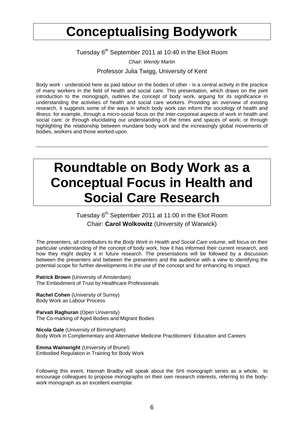## **Conceptualising Bodywork**

Tuesday 6<sup>th</sup> September 2011 at 10:40 in the Eliot Room

*Chair: Wendy Martin* 

Professor Julia Twigg, University of Kent

Body work - understood here as paid labour on the bodies of other - is a central activity in the practice of many workers in the field of health and social care. This presentation, which draws on the joint introduction to the monograph, outlines the concept of body work, arguing for its significance in understanding the activities of health and social care workers. Providing an overview of existing research, it suggests some of the ways in which body work can inform the sociology of health and illness: for example, through a micro-social focus on the inter-corporeal aspects of work in health and social care; or through elucidating our understanding of the times and spaces of work; or through highlighting the relationship between mundane body work and the increasingly global movements of bodies, workers and those worked-upon.

## **Roundtable on Body Work as a Conceptual Focus in Health and Social Care Research**

Tuesday 6<sup>th</sup> September 2011 at 11:00 in the Eliot Room Chair: **Carol Wolkowitz** (University of Warwick)

The presenters, all contributors to the *Body Work in Health and Social Care* volume, will focus on their particular understanding of the concept of body work, how it has informed their current research, and how they might deploy it in future research. The presentations will be followed by a discussion between the presenters and between the presenters and the audience with a view to identifying the potential scope for further developments in the use of the concept and for enhancing its impact.

**Patrick Brown** (University of Amsterdam) The Embodiment of Trust by Healthcare Professionals

**Rachel Cohen** (University of Surrey) Body Work as Labour Process

**Parvati Raghuran** (Open University) The Co-marking of Aged Bodies and Migrant Bodies

**Nicola Gale** (University of Birmingham) Body Work in Complementary and Alternative Medicine Practitioners' Education and Careers

**Emma Wainwright** (University of Brunel) Embodied Regulation in Training for Body Work

Following this event, Hannah Bradby will speak about the SHI monograph series as a whole, to encourage colleagues to propose monographs on their own research interests, referring to the bodywork monograph as an excellent exemplar.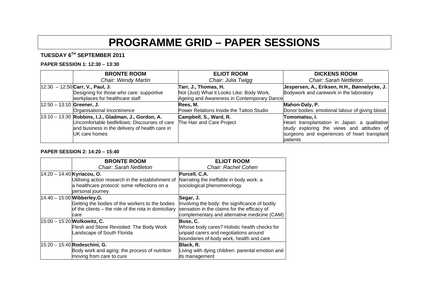## **PROGRAMME GRID – PAPER SESSIONS**

### **TUESDAY 6TH SEPTEMBER 2011**

#### **PAPER SESSION 1: 12:30 – 13:30**

|                             | <b>BRONTE ROOM</b>                                                          | <b>ELIOT ROOM</b>                                                                       | <b>DICKENS ROOM</b>                            |
|-----------------------------|-----------------------------------------------------------------------------|-----------------------------------------------------------------------------------------|------------------------------------------------|
|                             | Chair: Wendy Martin                                                         | Chair: Julia Twigg                                                                      | <b>Chair: Sarah Nettleton</b>                  |
|                             | $ 12:30 - 12:50 $ Carr, V., Paul, J.                                        | Tarr, J., Thomas, H.                                                                    | Jespersen, A., Eriksen, H.H., Bønnelycke, J.   |
|                             | Designing for those who care: supportive<br>workplaces for healthcare staff | Not (Just) What it Looks Like: Body Work,<br>Ageing and Awareness in Contemporary Dance | Bodywork and carework in the laboratory        |
| $12:50 - 13:10$ Greener, J. |                                                                             | Rees, M.                                                                                | Mahon-Daly, P.                                 |
|                             | Organisational Incontinence                                                 | Power Relations Inside the Tattoo Studio                                                | Donor bodies: emotional labour of giving blood |
|                             | $ 13:10 - 13:30 $ Robbins, I.J., Gladman, J., Gordon, A.                    | Campbell, S., Ward, R.                                                                  | Tomomatsu. I.                                  |
|                             | Uncomfortable bedfellows: Discourses of care                                | The Hair and Care Project                                                               | Heart transplantation in Japan: a qualitative  |
|                             | and business in the delivery of health care in                              |                                                                                         | study exploring the views and attitudes of     |
|                             | UK care homes                                                               |                                                                                         | surgeons and experiences of heart transplant   |
|                             |                                                                             |                                                                                         | patients                                       |

#### **PAPER SESSION 2: 14:20 – 15:40**

|                            | <b>BRONTE ROOM</b>                                               | <b>ELIOT ROOM</b>                                |
|----------------------------|------------------------------------------------------------------|--------------------------------------------------|
|                            | <b>Chair: Sarah Nettleton</b>                                    | Chair: Rachel Cohen                              |
| 14:20 - 14:40 Kyriacou, O. |                                                                  | Purcell, C.A.                                    |
|                            | Utilising action research in the establishment of                | Narrating the ineffable in body work: a          |
|                            | a healthcare protocol: some reflections on a<br>personal journey | sociological phenomenology                       |
|                            | $14:40 - 15:00$ Wibberley, G.                                    | Segar, J.                                        |
|                            | Getting the bodies of the workers to the bodies                  | Involving the body: the significance of bodily   |
|                            | of the clients – the role of the rota in domiciliary             | sensation in the claims for the efficacy of      |
|                            | care                                                             | complementary and alternative medicine (CAM)     |
|                            | $15:00 - 15:20$ Wolkowitz, C.                                    | Buse, C.                                         |
|                            | Flesh and Stone Revisited: The Body Work                         | Whose body cares? Holistic health checks for     |
|                            | Landscape of South Florida                                       | unpaid carers and negotiations around            |
|                            |                                                                  | boundaries of body work, health and care         |
|                            | $15:20 - 15:40$ Rodeschini, G.                                   | Black, R.                                        |
|                            | Body work and aging: the process of nutrition                    | Living with dying children: parental emotion and |
|                            | moving from care to cure                                         | lits management                                  |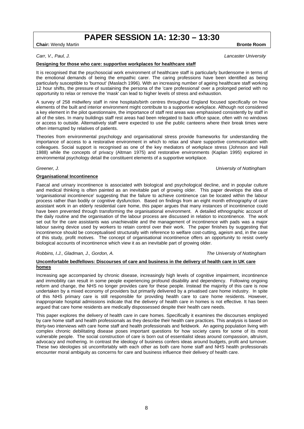### **PAPER SESSION 1A: 12:30 – 13:30**

**Chair:** Wendy Martin **Bronte Room** 

*Carr, V., Paul, J. Lancaster University* 

#### **Designing for those who care: supportive workplaces for healthcare staff**

It is recognised that the psychosocial work environment of healthcare staff is particularly burdensome in terms of the emotional demands of being the empathic carer. The caring professions have been identified as being particularly susceptible to 'burnout' (Maslach 1996). With an increasing number of ageing healthcare staff working 12 hour shifts, the pressure of sustaining the persona of the 'care professional' over a prolonged period with no opportunity to relax or remove the 'mask' can lead to higher levels of stress and exhaustion.

A survey of 258 midwifery staff in nine hospitals/birth centres throughout England focused specifically on how elements of the built and interior environment might contribute to a supportive workplace. Although not considered a key element in the pilot questionnaire, the importance of staff rest areas was emphasised consistently by staff in all of the sites. In many buildings staff rest areas had been relegated to back office space, often with no windows or access to outside. Alternatively staff were expected to use the public canteens where their break times were often interrupted by relatives of patients.

Theories from environmental psychology and organisational stress provide frameworks for understanding the importance of access to a restorative environment in which to relax and share supportive communication with colleagues. Social support is recognised as one of the key mediators of workplace stress (Johnson and Hall 1988) while the concepts of privacy (Altman 1975) and restorative environments (Kaplan 1995) explored in environmental psychology detail the constituent elements of a supportive workplace.

*Greener, J. University of Nottingham* 

### **Organisational Incontinence**

Faecal and urinary incontinence is associated with biological and psychological decline, and in popular culture and medical thinking is often painted as an inevitable part of growing older. This paper develops the idea of 'organisational incontinence' suggesting that the failure to achieve continence can be located within the labour process rather than bodily or cognitive dysfunction. Based on findings from an eight month ethnography of care assistant work in an elderly residential care home, this paper argues that many instances of incontinence could have been prevented through transforming the organisational environment. A detailed ethnographic account of the daily routine and the organisation of the labour process are discussed in relation to incontinence. The work set out for the care assistants was unachievable and the management of incontinence with pads was a major labour saving device used by workers to retain control over their work. The paper finishes by suggesting that incontinence should be conceptualised structurally with reference to welfare cost-cutting, ageism and, in the case of this study, profit motives. The concept of organisational incontinence offers an opportunity to resist overly biological accounts of incontinence which view it as an inevitable part of growing older.

*Robbins, I.J., Gladman, J., Gordon, A. The University of Nottingham* 

#### **Uncomfortable bedfellows: Discourses of care and business in the delivery of health care in UK care homes**

Increasing age accompanied by chronic disease, increasingly high levels of cognitive impairment, incontinence and immobility can result in some people experiencing profound disability and dependency. Following ongoing reform and change, the NHS no longer provides care for these people. Instead the majority of this care is now undertaken by a mixed economy of providers but primarily delivered by a privatised care home industry. In spite of this NHS primary care is still responsible for providing health care to care home residents. However, inappropriate hospital admissions indicate that the delivery of health care in homes is not effective. It has been argued that care home residents are medically dispossessed despite their health care needs.

This paper explores the delivery of health care in care homes. Specifically it examines the discourses employed by care home staff and health professionals as they describe their health care practices. This analysis is based on thirty-two interviews with care home staff and health professionals and fieldwork. An ageing population living with complex chronic debilitating disease poses important questions for how society cares for some of its most vulnerable people. The social construction of care is born out of essentialist ideas around compassion, altruism, advocacy and mothering. In contrast the ideology of business confers ideas around budgets, profit and turnover. These two ideologies sit uncomfortably with each other as both care home staff and NHS health professionals encounter moral ambiguity as concerns for care and business influence their delivery of health care.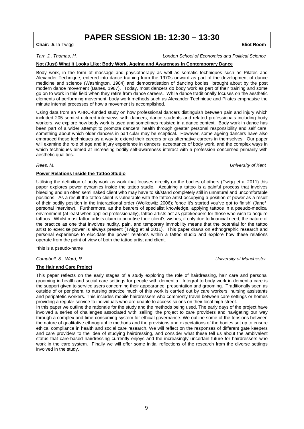### **PAPER SESSION 1B: 12:30 – 13:30**

**Chair:** Julia Twigg **Eliot Room** 

*Tarr, J., Thomas, H. London School of Economics and Political Science* 

### **Not (Just) What it Looks Like: Body Work, Ageing and Awareness in Contemporary Dance**

Body work, in the form of massage and physiotherapy as well as somatic techniques such as Pilates and Alexander Technique, entered into dance training from the 1970s onward as part of the development of dance medicine and science (Washington, 1984) and democratisation of dancing bodies brought about by the post modern dance movement (Banes, 1987). Today, most dancers do body work as part of their training and some go on to work in this field when they retire from dance careers. While dance traditionally focuses on the aesthetic elements of performing movement, body work methods such as Alexander Technique and Pilates emphasise the minute internal processes of how a movement is accomplished.

Using data from an AHRC-funded study on how professional dancers distinguish between pain and injury which included 205 semi-structured interviews with dancers, dance students and related professionals including body workers, we explore how body work is used and sometimes resisted in a dance context. Body work in dance has been part of a wider attempt to promote dancers' health through greater personal responsibility and self care, something about which older dancers in particular may be sceptical. However, some ageing dancers have also embraced these techniques as a way to extend their careers or as alternative careers in themselves. Our paper will examine the role of age and injury experience in dancers' acceptance of body work, and the complex ways in which techniques aimed at increasing bodily self-awareness interact with a profession concerned primarily with aesthetic qualities.

*Rees, M. University of Kent* 

#### **Power Relations Inside the Tattoo Studio**

Utilising the definition of body work as work that focuses directly on the bodies of others (Twigg et al 2011) this paper explores power dynamics inside the tattoo studio. Acquiring a tattoo is a painful process that involves bleeding and an often semi naked client who may have to sit/stand completely still in unnatural and uncomfortable positions. As a result the tattoo client is vulnerable with the tattoo artist occupying a position of power as a result of their bodily position in the interactional order (Wolkowitz 2006); 'once it's started you've got to finish' (Jane\*, personal interview). Furthermore, as the bearers of specialist knowledge, applying tattoos in a pseudo-medical environment (at least when applied professionally), tattoo artists act as gatekeepers for those who wish to acquire tattoos. Whilst most tattoo artists claim to prioritise their client's wishes, if only due to financial need, the nature of the practice as one that involves nudity, pain, and temporary immobility means that the potential for the tattoo artist to exercise power is always present (Twigg et al 2011). This paper draws on ethnographic research and personal experience to elucidate the power relations within a tattoo studio and explore how these relations operate from the point of view of both the tattoo artist and client.

\*this is a pseudo-name

#### **The Hair and Care Project**

This paper reflects on the early stages of a study exploring the role of hairdressing, hair care and personal grooming in health and social care settings for people with dementia. Integral to body work in dementia care is the support given to service users concerning their appearance, presentation and grooming. Traditionally seen as outside of or peripheral to nursing practice much of this work is carried out by care workers, nursing assistants and peripatetic workers. This includes mobile hairdressers who commonly travel between care settings or homes providing a regular service to individuals who are unable to access salons on their local high street.

In this paper we outline the rationale for the study and the methods being used. The early days of the project have involved a series of challenges associated with 'selling' the project to care providers and navigating our way through a complex and time-consuming system for ethical governance. We outline some of the tensions between the nature of qualitative ethnographic methods and the provisions and expectations of the bodies set up to ensure ethical compliance in health and social care research. We will reflect on the responses of different gate keepers and care providers to the idea of studying hairdressing, and consider what these tell us about the ambivalent status that care-based hairdressing currently enjoys and the increasingly uncertain future for hairdressers who work in the care system. Finally we will offer some initial reflections of the research from the diverse settings involved in the study.

*Campbell, S., Ward, R. University of Manchester*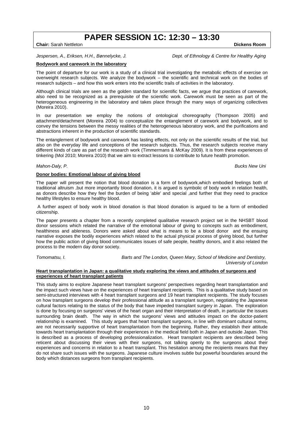### **PAPER SESSION 1C: 12:30 – 13:30**

**Chair:** Sarah Nettleton **Dickens Room <b>Dickens** Room **Dickens** Room **Dickens** Room **Dickens** Room **Dickens** Room **Dickens** Room **Dickens** Room **Dickens** Room **Dickens** Room **Dickens** Room **Dickens** Room **Dickens** Room **Di** 

*Jespersen, A., Eriksen, H.H., Bønnelycke, J.* Dept. of Ethnology & Centre for Healthy Aging **Dept.** 

#### **Bodywork and carework in the laboratory**

The point of departure for our work is a study of a clinical trial investigating the metabolic effects of exercise on overweight research subjects. We analyze the bodywork – the scientific and technical work on the bodies of research subjects – and how this work enters into the scientific trails of activities in the laboratory.

Although clinical trials are seen as the golden standard for scientific facts, we argue that practices of carework, also need to be recognized as a prerequisite of the scientific work. Carework must be seen as part of the heterogeneous engineering in the laboratory and takes place through the many ways of organizing collectives (Moreira 2010).

In our presentation we employ the notions of ontological choreography (Thompson 2005) and attachment/detachment (Moreira 2004) to conceptualize the entanglement of carework and bodywork, and to convey the tensions between the messy realities of the heterogeneous laboratory work, and the purifications and abstractions inherent in the production of scientific standards.

The entanglement of bodywork and carework has lasting effects, not only on the scientific results of the trial, but also on the everyday life and conceptions of the research subjects. Thus, the research subjects receive many different kinds of care as part of the research work (Timmermans & McKay 2009). It is from these experiences of tinkering (Mol 2010; Moreira 2010) that we aim to extract lessons to contribute to future health promotion.

#### *Mahon-Daly, P. Bucks New Uni*

#### **Donor bodies: Emotional labour of giving blood**

The paper will present the notion that blood donation is a form of bodywork,which embodied feelings both of traditional altruism ,but more importantly blood donation, it is argued is symbolic of body work in relation health, as donors describe how they feel the burden of being 'able' and special ,and further that they need to practice healthy lifestyles to ensure healthy blood.

 A further aspect of body work in blood donation is that blood donation is argued to be a form of embodied citizenship.

The paper presents a chapter from a recently completed qualitative research project set in the NHSBT blood donor sessions which related the narrative of the emotional labour of giving to concepts such as embodiment, healthiness and ableness. Donors were asked about what is means to be a blood donor and the ensuing narrative exposes the bodily experiences which related to the actual physical process of giving blood, but further how the public action of giving blood communicates issues of safe people, healthy donors, and it also related the process to the modern day donor society.

*Tomomatsu, I. Barts and The London, Queen Mary, School of Medicine and Dentistry, University of London* 

#### **Heart transplantation in Japan: a qualitative study exploring the views and attitudes of surgeons and experiences of heart transplant patients**

This study aims to explore Japanese heart transplant surgeons' perspectives regarding heart transplantation and the impact such views have on the experiences of heart transplant recipients. This is a qualitative study based on semi-structured interviews with 4 heart transplant surgeons and 19 heart transplant recipients. The study focuses on how transplant surgeons develop their professional attitude as a transplant surgeon, negotiating the Japanese cultural factors relating to the status of the body that have impeded transplant surgery in Japan. The exploration is done by focusing on surgeons' views of the heart organ and their interpretation of death, in particular the issues surrounding brain death. The way in which the surgeons' views and attitudes impact on the doctor-patient relationship is examined. This study argues that heart transplant surgeons, in line with dominant cultural norms, are not necessarily supportive of heart transplantation from the beginning. Rather, they establish their attitude towards heart transplantation through their experiences in the medical field both in Japan and outside Japan. This is described as a process of developing professionalization. Heart transplant recipients are described being reticent about discussing their views with their surgeons, not talking openly to the surgeons about their experiences and concerns in relation to a heart transplant. This hesitation among the recipients means that they do not share such issues with the surgeons. Japanese culture involves subtle but powerful boundaries around the body which distances surgeons from transplant recipients.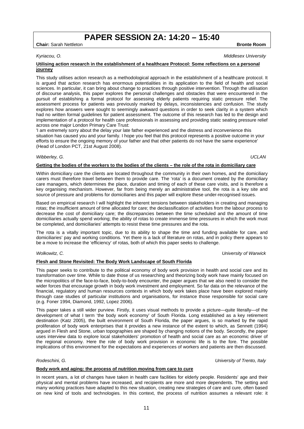### 11

### **PAPER SESSION 2A: 14:20 – 15:40**

**Chair:** Sarah Nettleton **Bronte Room <b>Bronte Room Bronte Room Bronte Room Bronte Room** 

#### **Utilising action research in the establishment of a healthcare Protocol: Some reflections on a personal journey**

This study utilises action research as a methodological approach in the establishment of a healthcare protocol. It is argued that action research has enormous potentialities in its application to the field of health and social sciences. In particular, it can bring about change to practices through positive intervention. Through the utilisation of discourse analysis, this paper explores the personal challenges and obstacles that were encountered in the pursuit of establishing a formal protocol for assessing elderly patients requiring static pressure relief. The assessment process for patients was previously marked by delays, inconsistencies and confusion. The study explores how answers were sought to seemingly awkward questions in order to seek clarity in a system which had no written formal guidelines for patient assessment. The outcome of this research has led to the design and implementation of a protocol for health care professionals in assessing and providing static seating pressure relief across one major London Primary Care Trust:

'I am extremely sorry about the delay your late father experienced and the distress and inconvenience this situation has caused you and your family. I hope you feel that this protocol represents a positive outcome in your efforts to ensure the ongoing memory of your father and that other patients do not have the same experience' (Head of London PCT, 21st August 2008).

#### *Wibberley, G. UCLAN*

**Getting the bodies of the workers to the bodies of the clients – the role of the rota in domiciliary care** 

Within domiciliary care the clients are located throughout the community in their own homes, and the domiciliary carers must therefore travel between them to provide care. The 'rota' is a document created by the domiciliary care managers, which determines the place, duration and timing of each of these care visits, and is therefore a key organising mechanism. However, far from being merely an administrative tool, the rota is a key site and source of pressure and problems for domiciliaries and this paper will explore these under-recognised issues.

Based on empirical research I will highlight the inherent tensions between stakeholders in creating and managing rotas; the insufficient amount of time allocated for care; the declassification of activities from the labour process to decrease the cost of domiciliary care; the discrepancies between the time scheduled and the amount of time domiciliaries actually spend working; the ability of rotas to create immense time pressures in which the work must be completed, and domiciliaries' attempts to resist these time pressures and the rota.

The rota is a vitally important topic, due to its ability to shape the time and funding available for care, and domiciliaries' pay and working conditions. Yet there is a lack of literature on rotas, and in policy there appears to be a move to increase the 'efficiency' of rotas, both of which this paper seeks to challenge.

#### *Wolkowitz, C. University of Warwick*

#### **Flesh and Stone Revisited: The Body Work Landscape of South Florida**

This paper seeks to contribute to the political economy of body work provision in health and social care and its transformation over time. While to date those of us researching and theorizing body work have mainly focused on the micropolitics of the face-to-face, body-to-body encounter, the paper argues that we also need to consider the wider forces that encourage growth in body work investment and employment. So far data on the relevance of the financial, regulatory and human resources contexts in which body work takes place have been explored mainly through case studies of particular institutions and organisations, for instance those responsible for social care (e.g. Foner 1994, Diamond, 1992, Lopez 2006).

This paper takes a still wider purview. Firstly, it uses visual methods to provide a picture—quite literally—of the development of what I term 'the body work economy' of South Florida. Long established as a key retirement destination (Katz 2005), the built environment of South Florida, the paper argues, is so marked by the rapid proliferation of body work enterprises that it provides a new instance of the extent to which, as Sennett (1994) argued in Flesh and Stone, urban topographies are shaped by changing notions of the body. Secondly, the paper uses interview data to explore local stakeholders' promotion of health and social care as an economic driver of the regional economy. Here the role of body work provision in economic life is to the fore. The possible implications of this environment for the expectations and experiences of workers and patients are then discussed.

#### **Body work and aging: the process of nutrition moving from care to cure**

In recent years, a lot of changes have taken in health care facilities for elderly people. Residents' age and their physical and mental problems have increased, and recipients are more and more dependents. The setting and many working practices have adapted to this new situation, creating new strategies of care and cure, often based on new kind of tools and technologies. In this context, the process of nutrition assumes a relevant role: it

#### *Kyriacou, O. Middlesex University*

#### *Rodeschini, G. University of Trento, Italy*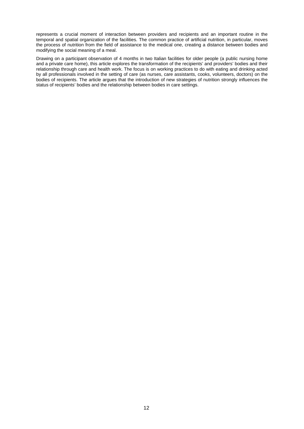represents a crucial moment of interaction between providers and recipients and an important routine in the temporal and spatial organization of the facilities. The common practice of artificial nutrition, in particular, moves the process of nutrition from the field of assistance to the medical one, creating a distance between bodies and modifying the social meaning of a meal.

Drawing on a participant observation of 4 months in two Italian facilities for older people (a public nursing home and a private care home), this article explores the transformation of the recipients' and providers' bodies and their relationship through care and health work. The focus is on working practices to do with eating and drinking acted by all professionals involved in the setting of care (as nurses, care assistants, cooks, volunteers, doctors) on the bodies of recipients. The article argues that the introduction of new strategies of nutrition strongly influences the status of recipients' bodies and the relationship between bodies in care settings.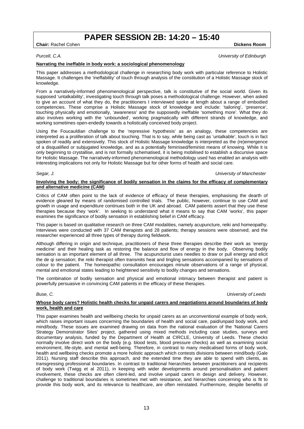### **PAPER SESSION 2B: 14:20 – 15:40**

**Chair:** Rachel Cohen **Dickens Room Dickens Room Dickens Room** 

#### *Purcell, C.A. University of Edinburgh*

#### **Narrating the ineffable in body work: a sociological phenomenology**

This paper addresses a methodological challenge in researching body work with particular reference to Holistic Massage. It challenges the 'ineffability' of touch through analysis of the constitution of a Holistic Massage stock of knowledge.

From a narratively-informed phenomenological perspective, talk is constitutive of the social world. Given its supposed 'untalkability', investigating touch through talk poses a methodological challenge. However, when asked to give an account of what they do, the practitioners I interviewed spoke at length about a range of embodied competencies. These comprise a Holistic Massage stock of knowledge and include: 'tailoring', 'presence', touching physically and emotionally, 'awareness' and the supposedly ineffable 'something more'. What they do also involves working with the 'unbounded', working pragmatically with different strands of knowledge, and working sometimes open-endedly towards a holistically conceived body project.

Using the Foucauldian challenge to the 'repressive hypothesis' as an analogy, these competencies are interpreted as a proliferation of talk about touching. That is to say, while being cast as 'untalkable', touch is in fact spoken of readily and extensively. This stock of Holistic Massage knowledge is interpreted as the (re)emergence of a disqualified or subjugated knowledge, and as a potentially feminised/feminist means of knowing. While it is only beginning to crystallise, and is not formally schematised, it is being mobilised to establish a discursive space for Holistic Massage. The narratively-informed phenomenological methodology used has enabled an analysis with interesting implications not only for Holistic Massage but for other forms of health and social care.

#### *Segar, J. University of Manchester*

#### **Involving the body: the significance of bodily sensation in the claims for the efficacy of complementary and alternative medicine (CAM)**

Critics of CAM often point to the lack of evidence of efficacy of these therapies, emphasising the dearth of evidence gleaned by means of randomised controlled trials. The public, however, continue to use CAM and growth in usage and expenditure continues both in the UK and abroad. CAM patients assert that they use these therapies because they 'work'. In seeking to understand what it means to say that CAM 'works', this paper examines the significance of bodily sensation in establishing belief in CAM efficacy.

This paper is based on qualitative research on three CAM modalities, namely acupuncture, reiki and homeopathy. Interviews were conducted with 37 CAM therapists and 28 patients; therapy sessions were observed; and the researcher experienced all three types of therapy during fieldwork.

Although differing in origin and technique, practitioners of these three therapies describe their work as 'energy medicine' and their healing task as restoring the balance and flow of energy in the body. Observing bodily sensation is an important element of all three. The acupuncturist uses needles to draw or pull energy and elicit the de qi sensation; the reiki therapist often transmits heat and tingling sensations accompanied by sensations of colour to the patient. The homeopathic consultation encourages minute observations of a range of physical, mental and emotional states leading to heightened sensitivity to bodily changes and sensations.

The combination of bodily sensation and physical and emotional intimacy between therapist and patient is powerfully persuasive in convincing CAM patients in the efficacy of these therapies.

#### *Buse, C. University of Leeds*

#### **Whose body cares? Holistic health checks for unpaid carers and negotiations around boundaries of body work, health and care**

This paper examines health and wellbeing checks for unpaid carers as an unconventional example of body work, which raises important issues concerning the boundaries of health and social care, paid/unpaid body work, and mind/body. These issues are examined drawing on data from the national evaluation of the 'National Carers Strategy Demonstrator Sites' project, gathered using mixed methods including case studies, surveys and documentary analysis, funded by the Department of Health at CIRCLE, University of Leeds. These checks normally involve direct work on the body (e.g. blood tests, blood pressure checks) as well as examining social environment, life-style, and mental well-being. Therefore, in contrast to many medicalised forms of body work, health and wellbeing checks promote a more holistic approach which contests divisions between mind/body (Gale 2011). Nursing staff describe this approach, and the extended time they are able to spend with clients, as transgressing professional boundaries. In contrast to traditional hierarchies between practitioners and recipients of body work (Twigg et al 2011), in keeping with wider developments around personalisation and patient involvement, these checks are often client-led, and involve unpaid carers in design and delivery. However, challenge to traditional boundaries is sometimes met with resistance, and hierarchies concerning who is fit to provide this body work, and its relevance to healthcare, are often reinstated. Furthermore, despite benefits of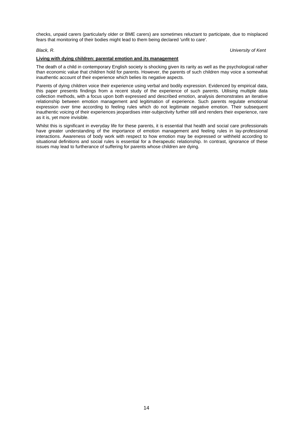checks, unpaid carers (particularly older or BME carers) are sometimes reluctant to participate, due to misplaced fears that monitoring of their bodies might lead to them being declared 'unfit to care'.

*Black, R. University of Kent* 

#### **Living with dying children: parental emotion and its management**

The death of a child in contemporary English society is shocking given its rarity as well as the psychological rather than economic value that children hold for parents. However, the parents of such children may voice a somewhat inauthentic account of their experience which belies its negative aspects.

Parents of dying children voice their experience using verbal and bodily expression. Evidenced by empirical data, this paper presents findings from a recent study of the experience of such parents. Utilising multiple data collection methods, with a focus upon both expressed and described emotion, analysis demonstrates an iterative relationship between emotion management and legitimation of experience. Such parents regulate emotional expression over time according to feeling rules which do not legitimate negative emotion. Their subsequent inauthentic voicing of their experiences jeopardises inter-subjectivity further still and renders their experience, rare as it is, yet more invisible.

Whilst this is significant in everyday life for these parents, it is essential that health and social care professionals have greater understanding of the importance of emotion management and feeling rules in lay-professional interactions. Awareness of body work with respect to how emotion may be expressed or withheld according to situational definitions and social rules is essential for a therapeutic relationship. In contrast, ignorance of these issues may lead to furtherance of suffering for parents whose children are dying.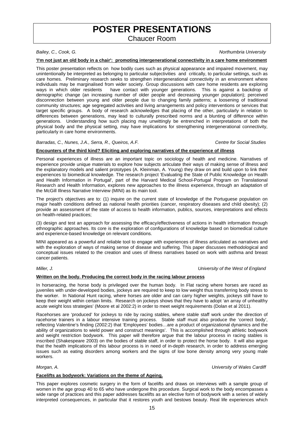### **POSTER PRESENTATIONS**

Chaucer Room

#### *Bailey, C., Cook, G. Northumbria University*

#### **'I'm not just an old body in a chair': promoting intergenerational connectivity in a care home environment**

This poster presentation reflects on how bodily cues such as physical appearance and impaired movement, may unintentionally be interpreted as belonging to particular subjectivities and critically, to particular settings, such as care homes. Preliminary research seeks to strengthen intergenerational connectivity in an environment where individuals may be marginalised from wider society. Group discussions with care home residents are exploring ways in which older residents have contact with younger generations. This is against a backdrop of demographic change (an increasing number of older people and decreasing younger population); perceived disconnection between young and older people due to changing family patterns; a loosening of traditional community structures; age segregated activities and living arrangements and policy interventions or services that target specific groups. A body of research acknowledges that placing of the other, particularly in relation to differences between generations, may lead to culturally prescribed norms and a blunting of difference within generations. Understanding how such placing may unwittingly be entrenched in interpretations of both the physical body and the physical setting, may have implications for strengthening intergenerational connectivity, particularly in care home environments.

#### *Barradas, C., Nunes, J.A., Serra, R., Queiros, A.F. Centre for Social Studies*

#### **Encounters of the third kind? Eliciting and exploring narratives of the experience of illness**

Personal experiences of illness are an important topic on sociology of health and medicine. Narratives of experience provide unique materials to explore how subjects articulate their ways of making sense of illness and the explanatory models and salient prototypes (A. Kleinman, A. Young) they draw on and build upon to link their experiences to biomedical knowledge. The research project 'Evaluating the State of Public Knowledge on Health and Health Information in Portugal', part of the Harvard Medical School-Portugal Program on Translational Research and Health Information, explores new approaches to the illness experience, through an adaptation of the McGill Illness Narrative Interview (MINI) as its main tool.

The project's objectives are to: (1) inquire on the current state of knowledge of the Portuguese population on major health conditions defined as national health priorities (cancer, respiratory diseases and child obesity); (2) provide an assessment of the state of access to health information, publics, sources, interpretations and effects on health-related practices;

(3) design and test an approach for assessing the efficacy/effectiveness of actions in health information through ethnographic approaches. Its core is the exploration of configurations of knowledge based on biomedical culture and experience-based knowledge on relevant conditions.

MINI appeared as a powerful and reliable tool to engage with experiences of illness articulated as narratives and with the exploration of ways of making sense of disease and suffering. This paper discusses methodological and conceptual issues related to the creation and uses of illness narratives based on work with asthma and breast cancer patients.

#### *Miller, J. University of the West of England*

#### **Written on the body. Producing the correct body in the racing labour process**

In horseracing, the horse body is privileged over the human body. In Flat racing where horses are raced as juveniles with under-developed bodies, jockeys are required to keep to low weight thus transferring body stress to the worker. In National Hunt racing, where horses are older and can carry higher weights, jockeys still have to keep their weight within certain limits. Research on jockeys shows that they have to adopt 'an array of unhealthy acute weight loss strategies' (Moore et al 2002:2) in order to meet weight requirements (Dolan et al 2011).

Racehorses are 'produced' for jockeys to ride by racing stables, where stable staff work under the direction of racehorse trainers in a labour intensive training process. Stable staff must also produce the 'correct body', reflecting Valentine's finding (2002:2) that 'Employees' bodies…are a product of organizational dynamics and the ability of organizations to wield power and construct meanings'. This is accomplished through athletic bodywork and weight restriction bodywork. This paper will therefore argue that the labour process in racing stables is inscribed (Shakespeare 2003) on the bodies of stable staff, in order to protect the horse body. It will also argue that the health implications of this labour process is in need of in-depth research, in order to address emerging issues such as eating disorders among workers and the signs of low bone density among very young male workers.

*Morgan, A. University of Wales Cardiff* 

#### **Facelifts as bodywork: Variations on the theme of Ageing.**

This paper explores cosmetic surgery in the form of facelifts and draws on interviews with a sample group of women in the age group 40 to 65 who have undergone this procedure. Surgical work to the body encompasses a wide range of practices and this paper addresses facelifts as an elective form of bodywork with a series of widely interpreted consequences, in particular that it restores youth and bestows beauty. Real life experiences which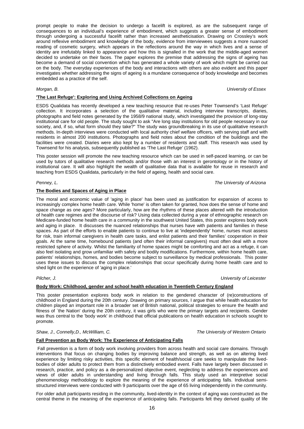prompt people to make the decision to undergo a facelift is explored, as are the subsequent range of consequences to an individual's experience of embodiment, which suggests a greater sense of embodiment through undergoing a successful facelift rather than increased aestheticisation. Drawing on Crossley's work around reflexive embodiment and knowledge of the body, evidence from interviewees suggests a more nuanced reading of cosmetic surgery, which appears in the reflections around the way in which lives and a sense of identity are irrefutably linked to appearance and how this is signalled in the work that the middle-aged women decided to undertake on their faces. The paper explores the premise that addressing the signs of ageing has become a demand of social convention which has generated a whole variety of work which might be carried out on the body. The everyday experiences of the body and interactions with others are also evident and this paper investigates whether addressing the signs of ageing is a mundane consequence of body knowledge and becomes embedded as a practice of the self.

**'The Last Refuge': Exploring and Using Archived Collections on Ageing** 

ESDS Qualidata has recently developed a new teaching resource that re-uses Peter Townsend's 'Last Refuge' collection. It incorporates a selection of the qualitative material, including interview transcripts, diaries, photographs and field notes generated by the 1958/9 national study, which investigated the provision of long-stay institutional care for old people. The study sought to ask "Are long stay institutions for old people necessary in our society, and, if so, what form should they take?" The study was groundbreaking in its use of qualitative research methods. In-depth interviews were conducted with local authority chief welfare officers, with serving staff and with residents in almost 200 institutions. Photographs and field notes about the condition of the buildings and the facilities were created. Diaries were also kept by a number of residents and staff. This research was used by Townsend for his analysis, subsequently published as 'The Last Refuge' (1962).

This poster session will promote the new teaching resource which can be used in self-paced learning, or can be used by tutors of qualitative research methods and/or those with an interest in gerontology or in the history of institutional care. It will also highlight the wealth of qualitative data that is available for reuse in research and teaching from ESDS Qualidata, particularly in the field of ageing, health and social care.

#### *Penney, L. The University of Arizona*

#### **The Bodies and Spaces of Aging in Place**

The moral and economic value of 'aging in place' has been used as justification for expansion of access to increasingly complex home health care. While 'home' is often taken for granted, how does the sense of home and space change as one ages? More particularly, how are the rhythms of these places altered with the introduction of health care regimes and the discourse of risk? Using data collected during a year of ethnographic research on Medicare-funded home health care in a community in the southwest United States, this poster explores body work and aging in place. It discusses the nuanced relationships that nurses have with patients and families in these spaces. As part of the efforts to enable patients to continue to live at 'independently' home, nurses must assess for risk, train informal caregivers in health care tasks, and enlist patients and their families' cooperation in their goals. At the same time, homebound patients (and often their informal caregivers) must often deal with a more restricted sphere of activity. Whilst the familiarity of home spaces might be comforting and act as a refuge, it can also feel isolating and grow unfamiliar with safety and bodily modifications. Furthermore, within home health care, patients' relationships, homes, and bodies become subject to surveillance by medical professionals. This poster uses these issues to discuss the complex relationships that occur specifically during home health care and to shed light on the experience of 'aging in place.'

#### **Body Work: Childhood, gender and school health education in Twentieth Century England**

This poster presentation explores body work in relation to the gendered character of (re)constructions of childhood in England during the 20th century. Drawing on primary sources, I argue that while health education for children played an important role in a broader set of British national, political strategies to ensure the health and fitness of `the Nation' during the 20th century, it was girls who were the primary targets and recipients. Gender was thus central to the 'body work' in childhood that official publications on health education in schools sought to promote.

#### *Shaw, J., Connelly,D., McWilliam, C. The University of Western Ontario*

### **Fall Prevention as Body Work: The Experience of Anticipating Falls**

 Fall prevention is a form of body work involving providers from across health and social care domains. Through interventions that focus on changing bodies by improving balance and strength, as well as on altering lived experience by limiting risky activities, this specific element of health/social care seeks to manipulate the livedbodies of older adults to protect them from a distinctively embodied event. Falls have largely been discussed in research, practice, and policy as a de-personalized objective event, neglecting to address the experiences and views of older adults in understanding and living through falls. This study used an interpretive social phenomenology methodology to explore the meaning of the experience of anticipating falls. Individual semistructured interviews were conducted with 9 participants over the age of 65 living independently in the community.

For older adult participants residing in the community, lived-identity in the context of aging was constructed as the central theme in the meaning of the experience of anticipating falls. Participants felt they derived quality of life

*Pilcher, J. University of Leicester* 

*Morgan, B. University of Essex*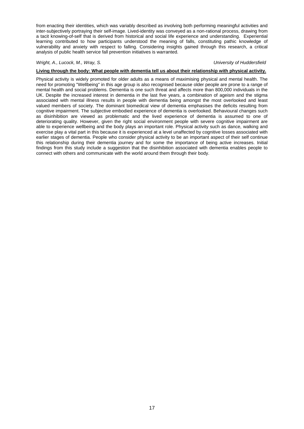from enacting their identities, which was variably described as involving both performing meaningful activities and inter-subjectively portraying their self-image. Lived-identity was conveyed as a non-rational process, drawing from a tacit knowing-of-self that is derived from historical and social life experience and understanding. Experiential learning contributed to how participants understood the meaning of falls, constituting pathic knowledge of vulnerability and anxiety with respect to falling. Considering insights gained through this research, a critical analysis of public health service fall prevention initiatives is warranted.

#### Wright, A., Lucock, M., Wray, S. University of Huddersfield **Music Containers and Automatic Containers University of Huddersfield**

### **Living through the body: What people with dementia tell us about their relationship with physical activity.**

Physical activity is widely promoted for older adults as a means of maximising physical and mental health. The need for promoting "Wellbeing" in this age group is also recognised because older people are prone to a range of mental health and social problems. Dementia is one such threat and affects more than 800,000 individuals in the UK. Despite the increased interest in dementia in the last five years, a combination of ageism and the stigma associated with mental illness results in people with dementia being amongst the most overlooked and least valued members of society. The dominant biomedical view of dementia emphasises the deficits resulting from cognitive impairment. The subjective embodied experience of dementia is overlooked. Behavioural changes such as disinhibition are viewed as problematic and the lived experience of dementia is assumed to one of deteriorating quality. However, given the right social environment people with severe cognitive impairment are able to experience wellbeing and the body plays an important role. Physical activity such as dance, walking and exercise play a vital part in this because it is experienced at a level unaffected by cognitive losses associated with earlier stages of dementia. People who consider physical activity to be an important aspect of their self continue this relationship during their dementia journey and for some the importance of being active increases. Initial findings from this study include a suggestion that the disinhibition associated with dementia enables people to connect with others and communicate with the world around them through their body.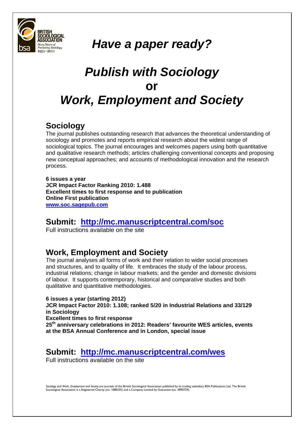

## *Have a paper ready?*

## *Publish with Sociology*  **or** *Work, Employment and Society*

### **Sociology**

The journal publishes outstanding research that advances the theoretical understanding of sociology and promotes and reports empirical research about the widest range of sociological topics. The journal encourages and welcomes papers using both quantitative and qualitative research methods; articles challenging conventional concepts and proposing new conceptual approaches; and accounts of methodological innovation and the research process.

**6 issues a year JCR Impact Factor Ranking 2010: 1.488 Excellent times to first response and to publication Online First publication www.soc.sagepub.com** 

### **Submit: http://mc.manuscriptcentral.com/soc**

Full instructions available on the site

### **Work, Employment and Society**

The iournal analyses all forms of work and their relation to wider social processes and structures, and to quality of life. It embraces the study of the labour process, industrial relations; change in labour markets; and the gender and domestic divisions of labour. It supports contemporary, historical and comparative studies and both qualitative and quantitative methodologies.

### **6 issues a year (starting 2012)**

**JCR Impact Factor 2010: 1.108; ranked 5/20 in Industrial Relations and 33/129 in Sociology** 

**Excellent times to first response** 

**25th anniversary celebrations in 2012: Readers' favourite WES articles, events at the BSA Annual Conference and in London, special issue** 

### **Submit: http://mc.manuscriptcentral.com/wes**

Full instructions available on the site

Sociology and Work, Employment and Society are journals of the British Sociological Association published by its trading subsidiary BSA Publications Ltd. The British Sociological Association is a Registered Charity (no. 1080235) and a Company Limited by Guarantee (no. 3890729)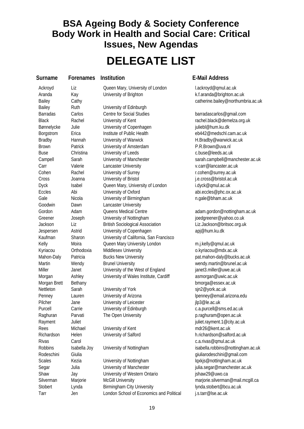### **BSA Ageing Body & Society Conference Body Work in Health and Social Care: Critical Issues, New Agendas**

## **DELEGATE LIST**

**Surname Forenames Institution E-Mail Address**

Aranda Kay University of Brighton k.f.aranda@brighton.ac.uk Bailey Cathy Cathy Catherine.bailey@northumbria.ac.uk Bailey Ruth University of Edinburgh Barradas Carlos Centre for Social Studies barradascarlos@gmail.com Black Rachel University of Kent rachel black@demelza.org.uk Bønnelycke Julie **University of Copenhagen** in the university of Copenhagen in the University of Copenhagen Borgstrom Erica Institute of Public Health eb442@medschl.cam.ac.uk Bradby **Hannah** University of Warwick Henry H.Bradby@warwick.ac.uk Brown Patrick University of Amsterdam P.R.Brown@uva.nl Buse Christina University of Leeds c.buse@leeds.ac.uk Campell Sarah University of Manchester sarah.campbell@manchester.ac.uk Carr Valerie Lancaster University v.carr@lancaster.ac.uk Cohen Rachel University of Surrey **Research State And America** Surrey.ac.uk Cross Joanna University of Bristol j.e.cross@bristol.ac.uk Dyck Isabel Queen Mary, University of London i.dyck@qmul.ac.uk Eccles Abi University of Oxford abi.eccles@phc.ox.ac.uk Gale Cale Nicola University of Birmingham neuron n.gale@bham.ac.uk Goodwin Dawn Lancaster University Gordon Adam Queens Medical Centre and adam.gordon@nottingham.ac.uk Greener Joseph University of Nottingham in a produce in the degreener@yahoo.co.uk Jackson Liz British Sociological Association Liz.Jackson@britsoc.org.uk Jespersen Astrid University of Copenhagen apj@hum.ku.dk Kaufman Sharon University of California, San Francisco Kelly Moira Queen Mary University London m.j.kelly@qmul.ac.uk Kyriacou Orthodoxia Middlesex University **o.kyriacou@mdx.ac.uk** Mahon-Daly Patricia Bucks New University **patricial business activates** pat.mahon-daly@bucks.ac.uk Martin Wendy Brunel University wendy.martin@brunel.ac.uk Miller Janet University of the West of England janet3.miller@uwe.ac.uk Morgan Morgan Ashley University of Wales Institute, Cardiff asmorgan@uwic.ac.uk Morgan Brett Bethany bmorga@essex.ac.uk Nettleton Sarah University of York sin2@york.ac.uk Penney Lauren University of Arizona letter the lpenney@email.arizona.edu Pilcher Jane University of Leicester and the proposal plane ilp3@le.ac.uk Purcell Carrie University of Edinburgh c.a.purcell@sms.ed.ac.uk Raghuran Parvati The Open University **Example 20 and Party America** Parvati Present Parvati The Open University Rayment Juliet Juliet Juliet in the state of the state of the state in the state of the state of the state of the state of the state of the state of the state of the state of the state of the state of the state of the stat Rees Michael University of Kent metal method of the Michael Michael University of Kent Richardson Helen University of Salford h.richardson@salford.ac.uk Rivas Carol Carol c.a.rivas@qmul.ac.uk Robbins Isabella Joy University of Nottingham isabella.robbins@nottingham.ac.uk Rodeschini Giulia giuliarodeschini@gmail.com Scales Kezia University of Nottingham loxkis@nottingham.ac.uk

Segar Julia University of Manchester in a segar@manchester.ac.uk Shaw Jay University of Western Ontario ishaw29@uwo.ca Silverman Marjorie McGill University marjorie.silverman@mail.mcgill.ca Stobert Lynda Birmingham City University **Stobert** Lynda.stobert@bcu.ac.uk Tarr Jen London School of Economics and Political i.s.tarr@lse.ac.uk

Ackroyd Liz Queen Mary, University of London lackroyd@qmul.ac.uk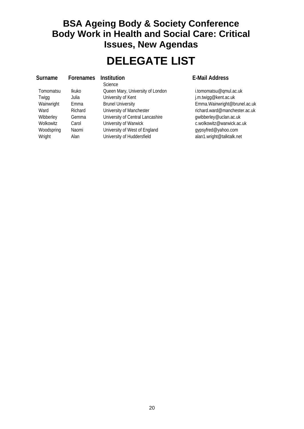### **BSA Ageing Body & Society Conference Body Work in Health and Social Care: Critical Issues, New Agendas**

## **DELEGATE LIST**

**Science** Tomomatsu Ikuko Queen Mary, University of London i.tomomatsu@qmul.ac.uk Twigg Julia University of Kent in the state of the influence of the University of Kent Wibberley Gemma University of Central Lancashire gwibberley@uclan.ac.uk Wolkowitz Carol University of Warwick Consumer C.wolkowitz@warwick.ac.uk Woodspring Naomi University of West of England gypsyfred@yahoo.com Wright Alan University of Huddersfield alan1.wright@talktalk.net

### **Forenames** Institution **E-Mail Address**

Wainwright Emma Brunel University **Emma.Wainwright@brunel.ac.uk** Emma.Wainwright@brunel.ac.uk Ward Richard University of Manchester richard.ward@manchester.ac.uk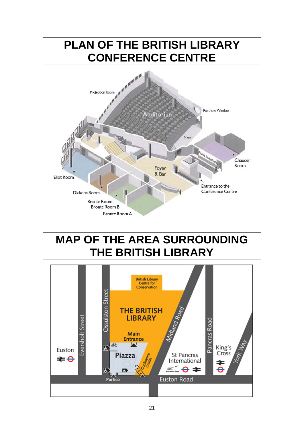

## **MAP OF THE AREA SURROUNDING THE BRITISH LIBRARY**

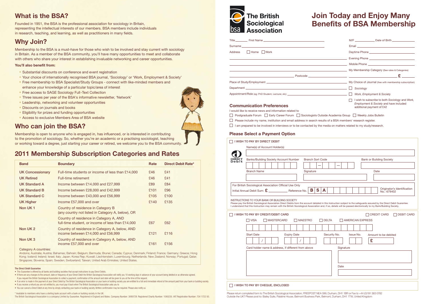### **What is the BSA?**

Founded in 1951, the BSA is the professional association for sociology in Britain, representing the intellectual interests of our members. BSA members include individuals in research, teaching, and learning, as well as practitioners in many fields.

### **Why Join?**

Membership to the BSA is a must-have for those who wish to be involved and stay current with sociology in Britain. As a member of the BSA community, you'll have many opportunities to meet and collaborate with others who share your interest in establishing invaluable networking and career opportunities.

### **You'll also benefit from:**

- Substantial discounts on conference and event registration
- Your choice of internationally recognised BSA journal, 'Sociology' or 'Work, Employment & Society'
- Free membership to BSA Specialist/Study Groups connect with like-minded members and
- enhance your knowledge of a particular topic/area of interest
- Free access to SAGE Sociology Full-Text Collection
- Three issues per year of the BSA's informative newsletter, 'Network'
- Leadership, networking and volunteer opportunities
- Discounts on journals and books
- Eligibility for prizes and funding opportunities
- Access to exclusive Members Area of BSA website

### **Who can join the BSA?**

Membership is open to anyone who is engaged in, has influenced, or is interested in contributing to the promotion of sociology. So, whether you're an academic or a practising sociologist, teaching or working toward a degree, just starting your career or retired, we welcome you to the BSA community.

### **2011 Membership Subscription Categories and Rates**

| <b>Band</b>             | <b>Boundary</b>                                                                              | Rate | <b>Direct Debit Rate*</b> |
|-------------------------|----------------------------------------------------------------------------------------------|------|---------------------------|
| <b>UK Concessionary</b> | Full-time students or income of less than £14,000                                            | £46  | £41                       |
| <b>UK Retired</b>       | Full-time retirement                                                                         | £46  | £41                       |
| <b>UK Standard A</b>    | Income between $£14,000$ and $£27,999$                                                       | £89  | £84                       |
| UK Standard B           | Income between $£28,000$ and $£42,999$                                                       | £101 | £96                       |
| UK Standard C           | Income between $£43,000$ and $£56,999$                                                       | £105 | £100                      |
| <b>UK Higher</b>        | Income £57,000 and over                                                                      | £140 | £135                      |
| Non UK1                 | Country of residence in Category B<br>(any country not listed in Category A, below), OR      |      |                           |
|                         | Country of residence in Category A, AND<br>full-time student, or income of less than £14,000 | £67  | £62                       |
| Non UK <sub>2</sub>     | Country of residence in Category A, below, AND<br>income between £14,000 and £56,999         | £121 | £116                      |
| Non UK 3                | Country of residence in Category A, below, AND<br>income £57,000 and over                    | £161 | £156                      |

Category A countries:

Andorra; Australia; Austria; Bahamas; Bahrain; Belgium; Bermuda; Brunei; Canada; Cyprus; Denmark; Finland; France; Germany; Greece; Hong Kong; Iceland; Ireland; Israel; Italy; Japan; Korea Rep; Kuwait; Liechtenstein; Luxembourg; Netherlands; New Zealand; Norway; Portugal; Qatar; Singapore; Slovenia; Spain; Sweden; Switzerland; Taiwan; United Arab Emirates; United States.

#### The Direct Debit Guarantee

- This Guarantee is offered by all banks and building societies that accept instructions to pay Direct Debits.
- If there are any changes to the amount, date or frequency of your Direct Debit the British Sociological Association will notify you 10 working days in advance of your account being debited or as otherwise agreed.
- If you request the British Sociological Association to collect a payment, confirmation of the amount and date will be given to you at the time of the request.

• You can cancel a Direct Debit at any time by simply contacting your bank or building society. Written confirmation may be required. Please also notify us.

\* Available to members who have a sterling bank account with a bank or building society in the UK.

The British Sociological Association is a company Limited by Guarantee. Registered in England and Wales. Company Number: 3890729. Registered Charity Number: 1080235. VAT Registration Number: 734 1722 50.



<sup>.</sup> If an error is made in the payment of your Direct Debit by The British Sociological Association or your bank or building society you are entitled to a full and immediate refund of the amount paid from your bank or buildi • If you receive a refund you are not entitled to, you must pay it back when The British Sociological Association asks you to